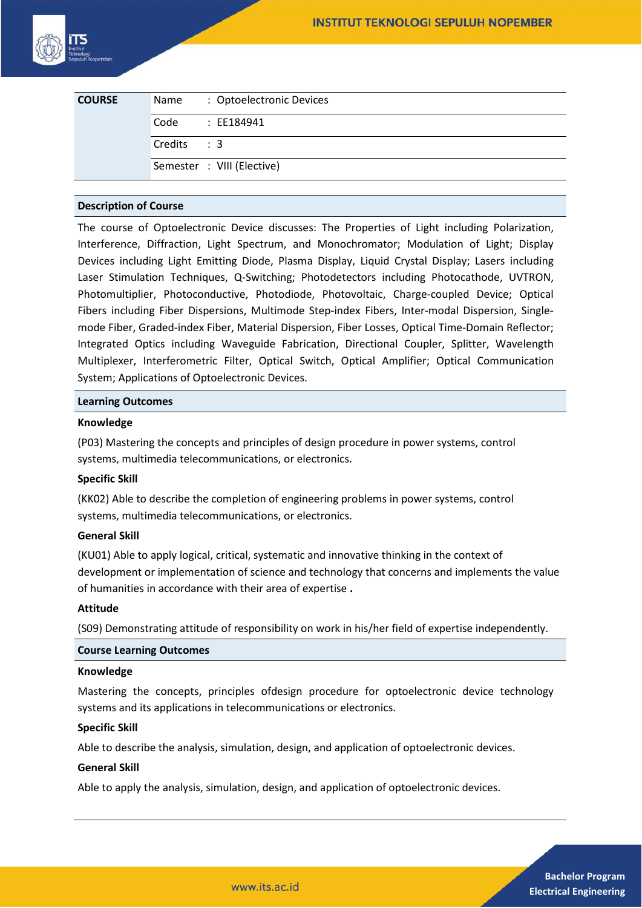

| <b>COURSE</b> | Name        | : Optoelectronic Devices   |
|---------------|-------------|----------------------------|
|               | Code        | : EE184941                 |
|               | Credits : 3 |                            |
|               |             | Semester : VIII (Elective) |

## **Description of Course**

The course of Optoelectronic Device discusses: The Properties of Light including Polarization, Interference, Diffraction, Light Spectrum, and Monochromator; Modulation of Light; Display Devices including Light Emitting Diode, Plasma Display, Liquid Crystal Display; Lasers including Laser Stimulation Techniques, Q-Switching; Photodetectors including Photocathode, UVTRON, Photomultiplier, Photoconductive, Photodiode, Photovoltaic, Charge-coupled Device; Optical Fibers including Fiber Dispersions, Multimode Step-index Fibers, Inter-modal Dispersion, Singlemode Fiber, Graded-index Fiber, Material Dispersion, Fiber Losses, Optical Time-Domain Reflector; Integrated Optics including Waveguide Fabrication, Directional Coupler, Splitter, Wavelength Multiplexer, Interferometric Filter, Optical Switch, Optical Amplifier; Optical Communication System; Applications of Optoelectronic Devices.

### **Learning Outcomes**

## **Knowledge**

(P03) Mastering the concepts and principles of design procedure in power systems, control systems, multimedia telecommunications, or electronics.

### **Specific Skill**

(KK02) Able to describe the completion of engineering problems in power systems, control systems, multimedia telecommunications, or electronics.

### **General Skill**

(KU01) Able to apply logical, critical, systematic and innovative thinking in the context of development or implementation of science and technology that concerns and implements the value of humanities in accordance with their area of expertise **.** 

### **Attitude**

(S09) Demonstrating attitude of responsibility on work in his/her field of expertise independently.

### **Course Learning Outcomes**

### **Knowledge**

Mastering the concepts, principles ofdesign procedure for optoelectronic device technology systems and its applications in telecommunications or electronics.

### **Specific Skill**

Able to describe the analysis, simulation, design, and application of optoelectronic devices.

### **General Skill**

Able to apply the analysis, simulation, design, and application of optoelectronic devices.